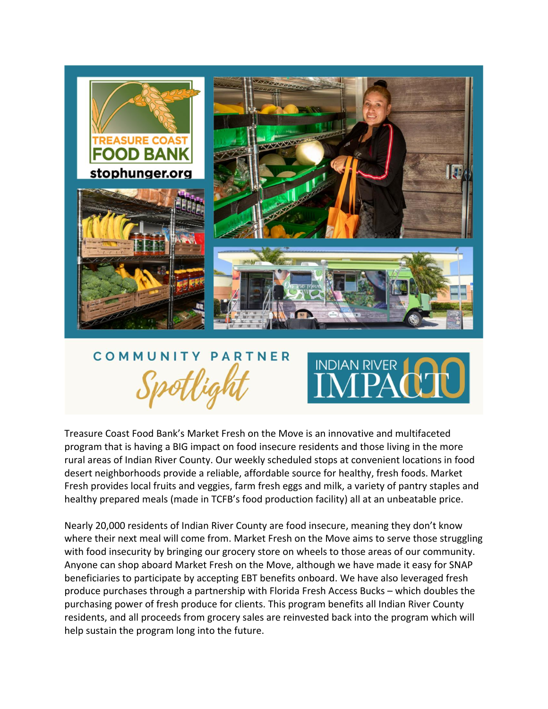

# COMMUNIT PARTNER



Treasure Coast Food Bank's Market Fresh on the Move is an innovative and multifaceted program that is having a BIG impact on food insecure residents and those living in the more rural areas of Indian River County. Our weekly scheduled stops at convenient locations in food desert neighborhoods provide a reliable, affordable source for healthy, fresh foods. Market Fresh provides local fruits and veggies, farm fresh eggs and milk, a variety of pantry staples and healthy prepared meals (made in TCFB's food production facility) all at an unbeatable price.

Nearly 20,000 residents of Indian River County are food insecure, meaning they don't know where their next meal will come from. Market Fresh on the Move aims to serve those struggling with food insecurity by bringing our grocery store on wheels to those areas of our community. Anyone can shop aboard Market Fresh on the Move, although we have made it easy for SNAP beneficiaries to participate by accepting EBT benefits onboard. We have also leveraged fresh produce purchases through a partnership with Florida Fresh Access Bucks – which doubles the purchasing power of fresh produce for clients. This program benefits all Indian River County residents, and all proceeds from grocery sales are reinvested back into the program which will help sustain the program long into the future.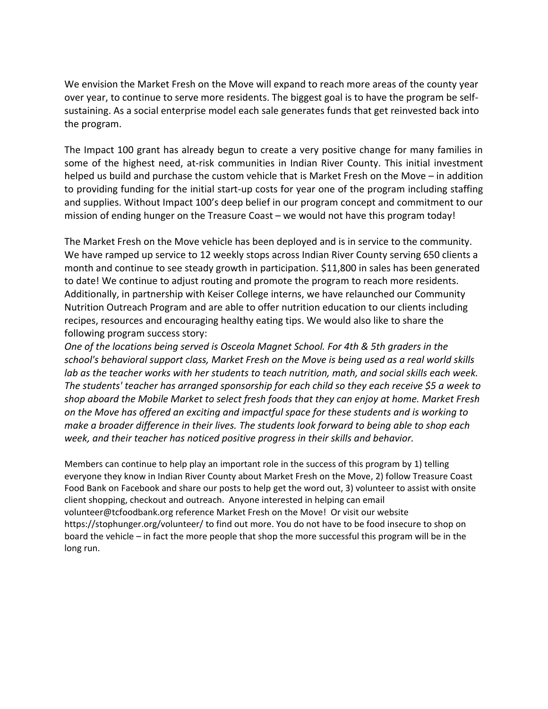We envision the Market Fresh on the Move will expand to reach more areas of the county year over year, to continue to serve more residents. The biggest goal is to have the program be selfsustaining. As a social enterprise model each sale generates funds that get reinvested back into the program.

The Impact 100 grant has already begun to create a very positive change for many families in some of the highest need, at-risk communities in Indian River County. This initial investment helped us build and purchase the custom vehicle that is Market Fresh on the Move – in addition to providing funding for the initial start-up costs for year one of the program including staffing and supplies. Without Impact 100's deep belief in our program concept and commitment to our mission of ending hunger on the Treasure Coast – we would not have this program today!

The Market Fresh on the Move vehicle has been deployed and is in service to the community. We have ramped up service to 12 weekly stops across Indian River County serving 650 clients a month and continue to see steady growth in participation. \$11,800 in sales has been generated to date! We continue to adjust routing and promote the program to reach more residents. Additionally, in partnership with Keiser College interns, we have relaunched our Community Nutrition Outreach Program and are able to offer nutrition education to our clients including recipes, resources and encouraging healthy eating tips. We would also like to share the following program success story:

*One of the locations being served is Osceola Magnet School. For 4th & 5th graders in the school's behavioral support class, Market Fresh on the Move is being used as a real world skills*  lab as the teacher works with her students to teach nutrition, math, and social skills each week. *The students' teacher has arranged sponsorship for each child so they each receive \$5 a week to shop aboard the Mobile Market to select fresh foods that they can enjoy at home. Market Fresh on the Move has offered an exciting and impactful space for these students and is working to make a broader difference in their lives. The students look forward to being able to shop each week, and their teacher has noticed positive progress in their skills and behavior.* 

Members can continue to help play an important role in the success of this program by 1) telling everyone they know in Indian River County about Market Fresh on the Move, 2) follow Treasure Coast Food Bank on Facebook and share our posts to help get the word out, 3) volunteer to assist with onsite client shopping, checkout and outreach. Anyone interested in helping can email volunteer@tcfoodbank.org reference Market Fresh on the Move! Or visit our website https://stophunger.org/volunteer/ to find out more. You do not have to be food insecure to shop on board the vehicle – in fact the more people that shop the more successful this program will be in the long run.